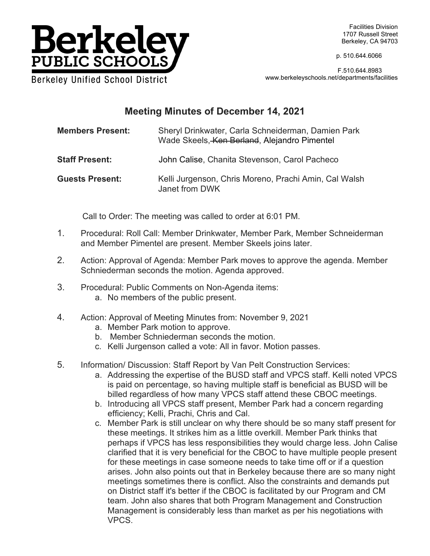

Facilities Division 1707 Russell Street Berkeley, CA 94703

p. 510.644.6066

 F.510.644.8983 www.berkeleyschools.net/departments/facilities

## **Meeting Minutes of December 14, 2021**

**Members Present:** Sheryl Drinkwater, Carla Schneiderman, Damien Park Wade Skeels, Ken Berland, Alejandro Pimentel

- **Staff Present:** John Calise, Chanita Stevenson, Carol Pacheco
- **Guests Present:** Kelli Jurgenson, Chris Moreno, Prachi Amin, Cal Walsh Janet from DWK

Call to Order: The meeting was called to order at 6:01 PM.

- 1. Procedural: Roll Call: Member Drinkwater, Member Park, Member Schneiderman and Member Pimentel are present. Member Skeels joins later.
- 2. Action: Approval of Agenda: Member Park moves to approve the agenda. Member Schniederman seconds the motion. Agenda approved.
- 3. Procedural: Public Comments on Non-Agenda items: a. No members of the public present.
- 4. Action: Approval of Meeting Minutes from: November 9, 2021
	- a. Member Park motion to approve.
	- b. Member Schniederman seconds the motion.
	- c. Kelli Jurgenson called a vote: All in favor. Motion passes.
- 5. Information/ Discussion: Staff Report by Van Pelt Construction Services:
	- a. Addressing the expertise of the BUSD staff and VPCS staff. Kelli noted VPCS is paid on percentage, so having multiple staff is beneficial as BUSD will be billed regardless of how many VPCS staff attend these CBOC meetings.
	- b. Introducing all VPCS staff present, Member Park had a concern regarding efficiency; Kelli, Prachi, Chris and Cal.
	- c. Member Park is still unclear on why there should be so many staff present for these meetings. It strikes him as a little overkill. Member Park thinks that perhaps if VPCS has less responsibilities they would charge less. John Calise clarified that it is very beneficial for the CBOC to have multiple people present for these meetings in case someone needs to take time off or if a question arises. John also points out that in Berkeley because there are so many night meetings sometimes there is conflict. Also the constraints and demands put on District staff it's better if the CBOC is facilitated by our Program and CM team. John also shares that both Program Management and Construction Management is considerably less than market as per his negotiations with VPCS.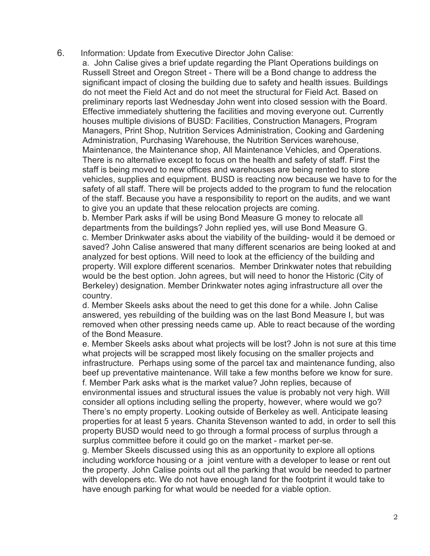6. Information: Update from Executive Director John Calise:

a. John Calise gives a brief update regarding the Plant Operations buildings on Russell Street and Oregon Street - There will be a Bond change to address the significant impact of closing the building due to safety and health issues. Buildings do not meet the Field Act and do not meet the structural for Field Act. Based on preliminary reports last Wednesday John went into closed session with the Board. Effective immediately shuttering the facilities and moving everyone out. Currently houses multiple divisions of BUSD: Facilities, Construction Managers, Program Managers, Print Shop, Nutrition Services Administration, Cooking and Gardening Administration, Purchasing Warehouse, the Nutrition Services warehouse, Maintenance, the Maintenance shop, All Maintenance Vehicles, and Operations. There is no alternative except to focus on the health and safety of staff. First the staff is being moved to new offices and warehouses are being rented to store vehicles, supplies and equipment. BUSD is reacting now because we have to for the safety of all staff. There will be projects added to the program to fund the relocation of the staff. Because you have a responsibility to report on the audits, and we want to give you an update that these relocation projects are coming.

b. Member Park asks if will be using Bond Measure G money to relocate all departments from the buildings? John replied yes, will use Bond Measure G. c. Member Drinkwater asks about the viability of the building- would it be demoed or saved? John Calise answered that many different scenarios are being looked at and analyzed for best options. Will need to look at the efficiency of the building and property. Will explore different scenarios. Member Drinkwater notes that rebuilding would be the best option. John agrees, but will need to honor the Historic (City of Berkeley) designation. Member Drinkwater notes aging infrastructure all over the country.

d. Member Skeels asks about the need to get this done for a while. John Calise answered, yes rebuilding of the building was on the last Bond Measure I, but was removed when other pressing needs came up. Able to react because of the wording of the Bond Measure.

e. Member Skeels asks about what projects will be lost? John is not sure at this time what projects will be scrapped most likely focusing on the smaller projects and infrastructure. Perhaps using some of the parcel tax and maintenance funding, also beef up preventative maintenance. Will take a few months before we know for sure. f. Member Park asks what is the market value? John replies, because of

environmental issues and structural issues the value is probably not very high. Will consider all options including selling the property, however, where would we go? There's no empty property. Looking outside of Berkeley as well. Anticipate leasing properties for at least 5 years. Chanita Stevenson wanted to add, in order to sell this property BUSD would need to go through a formal process of surplus through a surplus committee before it could go on the market - market per-se.

g. Member Skeels discussed using this as an opportunity to explore all options including workforce housing or a joint venture with a developer to lease or rent out the property. John Calise points out all the parking that would be needed to partner with developers etc. We do not have enough land for the footprint it would take to have enough parking for what would be needed for a viable option.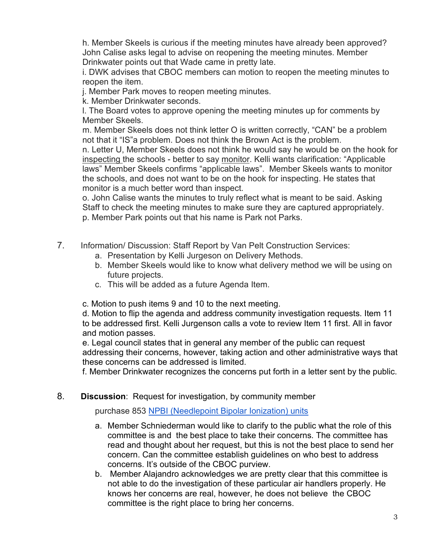h. Member Skeels is curious if the meeting minutes have already been approved? John Calise asks legal to advise on reopening the meeting minutes. Member Drinkwater points out that Wade came in pretty late.

i. DWK advises that CBOC members can motion to reopen the meeting minutes to reopen the item.

j. Member Park moves to reopen meeting minutes.

k. Member Drinkwater seconds.

l. The Board votes to approve opening the meeting minutes up for comments by Member Skeels.

m. Member Skeels does not think letter O is written correctly, "CAN" be a problem not that it "IS"a problem. Does not think the Brown Act is the problem.

n. Letter U, Member Skeels does not think he would say he would be on the hook for inspecting the schools - better to say monitor. Kelli wants clarification: "Applicable laws" Member Skeels confirms "applicable laws". Member Skeels wants to monitor the schools, and does not want to be on the hook for inspecting. He states that monitor is a much better word than inspect.

o. John Calise wants the minutes to truly reflect what is meant to be said. Asking Staff to check the meeting minutes to make sure they are captured appropriately. p. Member Park points out that his name is Park not Parks.

- 7. Information/ Discussion: Staff Report by Van Pelt Construction Services:
	- a. Presentation by Kelli Jurgeson on Delivery Methods.
	- b. Member Skeels would like to know what delivery method we will be using on future projects.
	- c. This will be added as a future Agenda Item.

c. Motion to push items 9 and 10 to the next meeting.

d. Motion to flip the agenda and address community investigation requests. Item 11 to be addressed first. Kelli Jurgenson calls a vote to review Item 11 first. All in favor and motion passes.

e. Legal council states that in general any member of the public can request addressing their concerns, however, taking action and other administrative ways that these concerns can be addressed is limited.

f. Member Drinkwater recognizes the concerns put forth in a letter sent by the public.

## 8. **Discussion**: Request for investigation, by community member

purchase 853 NPBI (Needlepoint Bipolar Ionization) units

- a. Member Schniederman would like to clarify to the public what the role of this committee is and the best place to take their concerns. The committee has read and thought about her request, but this is not the best place to send her concern. Can the committee establish guidelines on who best to address concerns. It's outside of the CBOC purview.
- b. Member Alajandro acknowledges we are pretty clear that this committee is not able to do the investigation of these particular air handlers properly. He knows her concerns are real, however, he does not believe the CBOC committee is the right place to bring her concerns.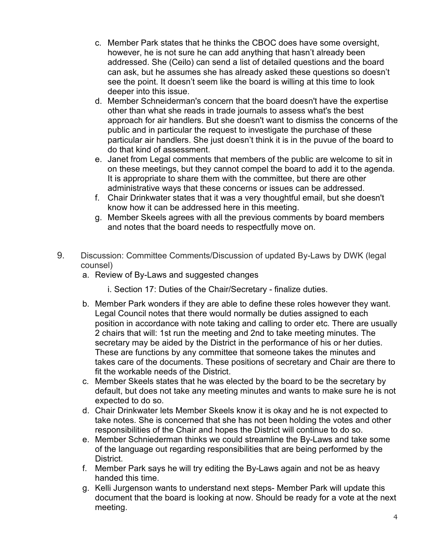- c. Member Park states that he thinks the CBOC does have some oversight, however, he is not sure he can add anything that hasn't already been addressed. She (Ceilo) can send a list of detailed questions and the board can ask, but he assumes she has already asked these questions so doesn't see the point. It doesn't seem like the board is willing at this time to look deeper into this issue.
- d. Member Schneiderman's concern that the board doesn't have the expertise other than what she reads in trade journals to assess what's the best approach for air handlers. But she doesn't want to dismiss the concerns of the public and in particular the request to investigate the purchase of these particular air handlers. She just doesn't think it is in the puvue of the board to do that kind of assessment.
- e. Janet from Legal comments that members of the public are welcome to sit in on these meetings, but they cannot compel the board to add it to the agenda. It is appropriate to share them with the committee, but there are other administrative ways that these concerns or issues can be addressed.
- f. Chair Drinkwater states that it was a very thoughtful email, but she doesn't know how it can be addressed here in this meeting.
- g. Member Skeels agrees with all the previous comments by board members and notes that the board needs to respectfully move on.
- 9. Discussion: Committee Comments/Discussion of updated By-Laws by DWK (legal counsel)
	- a. Review of By-Laws and suggested changes
		- i. Section 17: Duties of the Chair/Secretary finalize duties.
	- b. Member Park wonders if they are able to define these roles however they want. Legal Council notes that there would normally be duties assigned to each position in accordance with note taking and calling to order etc. There are usually 2 chairs that will: 1st run the meeting and 2nd to take meeting minutes. The secretary may be aided by the District in the performance of his or her duties. These are functions by any committee that someone takes the minutes and takes care of the documents. These positions of secretary and Chair are there to fit the workable needs of the District.
	- c. Member Skeels states that he was elected by the board to be the secretary by default, but does not take any meeting minutes and wants to make sure he is not expected to do so.
	- d. Chair Drinkwater lets Member Skeels know it is okay and he is not expected to take notes. She is concerned that she has not been holding the votes and other responsibilities of the Chair and hopes the District will continue to do so.
	- e. Member Schniederman thinks we could streamline the By-Laws and take some of the language out regarding responsibilities that are being performed by the District.
	- f. Member Park says he will try editing the By-Laws again and not be as heavy handed this time.
	- g. Kelli Jurgenson wants to understand next steps- Member Park will update this document that the board is looking at now. Should be ready for a vote at the next meeting.